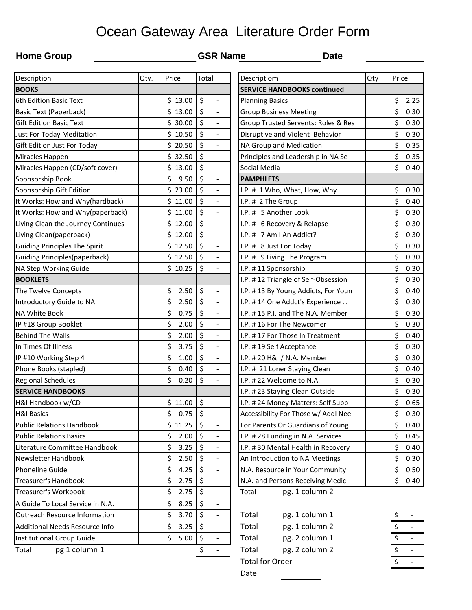## Ocean Gateway Area Literature Order Form

## **Home Group GSR Name Date**

| Description                          | Qty. | Price      | Total                                            | Descriptiom                         | Qty | Price                |
|--------------------------------------|------|------------|--------------------------------------------------|-------------------------------------|-----|----------------------|
| <b>BOOKS</b>                         |      |            |                                                  | <b>SERVICE HANDBOOKS continued</b>  |     |                      |
| 6th Edition Basic Text               |      | \$13.00    | $\zeta$<br>$\overline{\phantom{a}}$              | <b>Planning Basics</b>              |     | \$<br>2.25           |
| <b>Basic Text (Paperback)</b>        |      | \$13.00    | $\zeta$<br>$\overline{\phantom{a}}$              | <b>Group Business Meeting</b>       |     | \$<br>0.30           |
| <b>Gift Edition Basic Text</b>       |      | \$30.00    | $\zeta$<br>$\overline{\phantom{a}}$              | Group Trusted Servents: Roles & Res |     | \$<br>0.30           |
| Just For Today Meditation            |      | \$10.50    | $\zeta$<br>$\blacksquare$                        | Disruptive and Violent Behavior     |     | \$<br>0.30           |
| Gift Edition Just For Today          |      | \$20.50    | \$<br>$\overline{\phantom{a}}$                   | NA Group and Medication             |     | \$<br>0.35           |
| Miracles Happen                      |      | \$32.50    | \$<br>$\overline{\phantom{a}}$                   | Principles and Leadership in NA Se  |     | \$<br>0.35           |
| Miracles Happen (CD/soft cover)      |      | \$13.00    | $\zeta$<br>$\overline{\phantom{a}}$              | Social Media                        |     | \$<br>0.40           |
| Sponsorship Book                     |      | \$<br>9.50 | $\zeta$<br>$\overline{\phantom{a}}$              | <b>PAMPHLETS</b>                    |     |                      |
| Sponsorship Gift Edition             |      | \$23.00    | \$<br>$\overline{\phantom{a}}$                   | I.P. # 1 Who, What, How, Why        |     | \$<br>0.30           |
| It Works: How and Why(hardback)      |      | \$11.00    | $\zeta$<br>$\overline{\phantom{a}}$              | I.P. # 2 The Group                  |     | \$<br>0.40           |
| It Works: How and Why(paperback)     |      | \$11.00    | \$<br>$\overline{\phantom{a}}$                   | I.P. # 5 Another Look               |     | \$<br>0.30           |
| Living Clean the Journey Continues   |      | \$12.00    | \$<br>$\overline{\phantom{a}}$                   | I.P. # 6 Recovery & Relapse         |     | \$<br>0.30           |
| Living Clean(paperback)              |      | \$12.00    | \$<br>$\overline{\phantom{a}}$                   | I.P. # 7 Am I An Addict?            |     | \$<br>0.30           |
| <b>Guiding Principles The Spirit</b> |      | \$12.50    | $\zeta$<br>$\blacksquare$                        | I.P. # 8 Just For Today             |     | \$<br>0.30           |
| <b>Guiding Principles(paperback)</b> |      | \$12.50    | $\zeta$                                          | I.P. # 9 Living The Program         |     | \$<br>0.30           |
| NA Step Working Guide                |      | \$10.25    | $\boldsymbol{\zeta}$<br>$\overline{\phantom{a}}$ | I.P. #11 Sponsorship                |     | \$<br>0.30           |
| <b>BOOKLETS</b>                      |      |            |                                                  | I.P. #12 Triangle of Self-Obsession |     | \$<br>0.30           |
| The Twelve Concepts                  |      | \$<br>2.50 | \$<br>$\qquad \qquad -$                          | I.P. #13 By Young Addicts, For Youn |     | \$<br>0.40           |
| Introductory Guide to NA             |      | \$<br>2.50 | $\zeta$<br>$\Box$                                | I.P. #14 One Addct's Experience     |     | \$<br>0.30           |
| NA White Book                        |      | \$<br>0.75 | $\zeta$<br>$\frac{1}{2}$                         | I.P. #15 P.I. and The N.A. Member   |     | \$<br>0.30           |
| IP #18 Group Booklet                 |      | \$<br>2.00 | \$<br>$\blacksquare$                             | I.P. #16 For The Newcomer           |     | \$<br>0.30           |
| <b>Behind The Walls</b>              |      | \$<br>2.00 | $\zeta$<br>$\overline{\phantom{a}}$              | I.P. #17 For Those In Treatment     |     | \$<br>0.40           |
| In Times Of Illness                  |      | \$<br>3.75 | \$<br>$\overline{\phantom{a}}$                   | I.P. #19 Self Acceptance            |     | \$<br>0.30           |
| IP #10 Working Step 4                |      | \$<br>1.00 | \$<br>$\overline{\phantom{a}}$                   | I.P. # 20 H&I / N.A. Member         |     | \$<br>0.30           |
| Phone Books (stapled)                |      | \$<br>0.40 | \$<br>$\overline{\phantom{a}}$                   | I.P. # 21 Loner Staying Clean       |     | \$<br>0.40           |
| <b>Regional Schedules</b>            |      | \$<br>0.20 | $\zeta$<br>$\frac{1}{2}$                         | I.P. #22 Welcome to N.A.            |     | \$<br>0.30           |
| <b>SERVICE HANDBOOKS</b>             |      |            |                                                  | I.P. # 23 Staying Clean Outside     |     | \$<br>0.30           |
| H&I Handbook w/CD                    |      | \$11.00    | \$<br>$\overline{\phantom{a}}$                   | I.P. #24 Money Matters: Self Supp   |     | \$<br>0.65           |
| <b>H&amp;I Basics</b>                |      | \$<br>0.75 | $\zeta$                                          | Accessibility For Those w/ Addl Nee |     | \$<br>0.30           |
| <b>Public Relations Handbook</b>     |      | \$11.25    | \$<br>$\overline{\phantom{a}}$                   | For Parents Or Guardians of Young   |     | \$<br>0.40           |
| <b>Public Relations Basics</b>       |      | \$<br>2.00 | $\zeta$<br>$\blacksquare$                        | I.P. # 28 Funding in N.A. Services  |     | \$<br>0.45           |
| Literature Committee Handbook        |      | \$<br>3.25 | \$<br>$\overline{\phantom{a}}$                   | I.P. #30 Mental Health in Recovery  |     | \$<br>0.40           |
| Newsletter Handbook                  |      | \$<br>2.50 | \$<br>$\overline{\phantom{a}}$                   | An Introduction to NA Meetings      |     | \$<br>0.30           |
| Phoneline Guide                      |      | \$<br>4.25 | \$<br>$\overline{\phantom{a}}$                   | N.A. Resource in Your Community     |     | \$<br>0.50           |
| <b>Treasurer's Handbook</b>          |      | \$<br>2.75 | \$<br>$\overline{\phantom{a}}$                   | N.A. and Persons Receiving Medic    |     | \$<br>0.40           |
| Treasurer's Workbook                 |      | \$<br>2.75 | $\zeta$<br>$\blacksquare$                        | pg. 1 column 2<br>Total             |     |                      |
| A Guide To Local Service in N.A.     |      | \$<br>8.25 | \$<br>$\overline{\phantom{a}}$                   |                                     |     |                      |
| <b>Outreach Resource Information</b> |      | \$<br>3.70 | $\boldsymbol{\zeta}$<br>$\blacksquare$           | Total<br>pg. 1 column 1             |     | \$                   |
| Additional Needs Resource Info       |      | \$<br>3.25 | \$<br>$\overline{\phantom{a}}$                   | pg. 1 column 2<br>Total             |     | $\sim$               |
| Institutional Group Guide            |      | \$<br>5.00 | \$<br>$\overline{\phantom{a}}$                   | pg. 2 column 1<br>Total             |     | $\frac{1}{\sqrt{2}}$ |
| pg 1 column 1<br>Total               |      |            | \$<br>$\blacksquare$                             | pg. 2 column 2<br>Total             |     | $\overline{\xi}$     |

| Descriptiom                         | Qty | Price                   |      |
|-------------------------------------|-----|-------------------------|------|
| <b>SERVICE HANDBOOKS continued</b>  |     |                         |      |
| <b>Planning Basics</b>              |     | \$                      | 2.25 |
| <b>Group Business Meeting</b>       |     | \$                      | 0.30 |
| Group Trusted Servents: Roles & Res |     | \$                      | 0.30 |
| Disruptive and Violent Behavior     |     | \$                      | 0.30 |
| NA Group and Medication             |     | \$                      | 0.35 |
| Principles and Leadership in NA Se  |     | \$                      | 0.35 |
| Social Media                        |     | \$                      | 0.40 |
| <b>PAMPHLETS</b>                    |     |                         |      |
| I.P. # 1 Who, What, How, Why        |     | \$                      | 0.30 |
| I.P. # 2 The Group                  |     | \$                      | 0.40 |
| I.P. # 5 Another Look               |     | \$                      | 0.30 |
| I.P. # 6 Recovery & Relapse         |     | \$                      | 0.30 |
| I.P. # 7 Am I An Addict?            |     | \$                      | 0.30 |
| I.P. # 8 Just For Today             |     | \$                      | 0.30 |
| I.P. # 9 Living The Program         |     | \$                      | 0.30 |
| I.P. #11 Sponsorship                |     | \$                      | 0.30 |
| I.P. #12 Triangle of Self-Obsession |     | \$                      | 0.30 |
| I.P. #13 By Young Addicts, For Youn |     | \$                      | 0.40 |
| I.P. #14 One Addct's Experience     |     | \$                      | 0.30 |
| I.P. #15 P.I. and The N.A. Member   |     | \$                      | 0.30 |
| I.P. #16 For The Newcomer           |     | \$                      | 0.30 |
| I.P. #17 For Those In Treatment     |     | \$                      | 0.40 |
| I.P. #19 Self Acceptance            |     | \$                      | 0.30 |
| I.P. # 20 H&I / N.A. Member         |     | \$                      | 0.30 |
| I.P. # 21 Loner Staying Clean       |     | \$                      | 0.40 |
| I.P. # 22 Welcome to N.A.           |     | \$                      | 0.30 |
| I.P. # 23 Staying Clean Outside     |     | \$                      | 0.30 |
| I.P. #24 Money Matters: Self Supp   |     | \$                      | 0.65 |
| Accessibility For Those w/ Addl Nee |     | $\overline{\mathsf{s}}$ | 0.30 |
| For Parents Or Guardians of Young   |     | \$                      | 0.40 |
| I.P. # 28 Funding in N.A. Services  |     | \$                      | 0.45 |
| I.P. #30 Mental Health in Recovery  |     | \$                      | 0.40 |
| An Introduction to NA Meetings      |     | \$                      | 0.30 |
| N.A. Resource in Your Community     |     | \$                      | 0.50 |
| N.A. and Persons Receiving Medic    |     | \$                      | 0.40 |
| pg. 1 column 2<br>Total             |     |                         |      |

| Total                  | pg. 1 column 1 |  |  |
|------------------------|----------------|--|--|
| Total                  | pg. 1 column 2 |  |  |
| Total                  | pg. 2 column 1 |  |  |
| Total                  | pg. 2 column 2 |  |  |
| <b>Total for Order</b> |                |  |  |
| Date                   |                |  |  |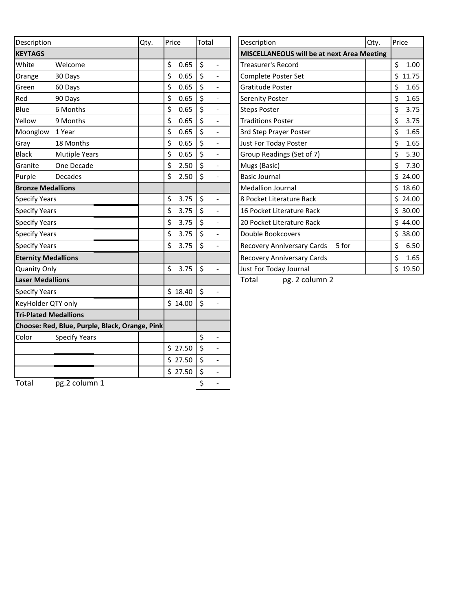| Description                                    | Qty. | Price      | Total                               | Description                                | Qty. | Price      |
|------------------------------------------------|------|------------|-------------------------------------|--------------------------------------------|------|------------|
| <b>KEYTAGS</b>                                 |      |            |                                     | MISCELLANEOUS will be at next Area Meeting |      |            |
| White<br>Welcome                               |      | \$<br>0.65 | \$<br>$\overline{a}$                | <b>Treasurer's Record</b>                  |      | \$<br>1.00 |
| Orange<br>30 Days                              |      | \$<br>0.65 | $\zeta$<br>$\overline{\phantom{a}}$ | Complete Poster Set                        |      | \$11.75    |
| Green<br>60 Days                               |      | \$<br>0.65 | $\zeta$<br>$\overline{a}$           | Gratitude Poster                           |      | \$<br>1.65 |
| Red<br>90 Days                                 |      | \$<br>0.65 | $\zeta$<br>$\overline{a}$           | Serenity Poster                            |      | \$<br>1.65 |
| Blue<br>6 Months                               |      | \$<br>0.65 | $\zeta$<br>$\frac{1}{2}$            | <b>Steps Poster</b>                        |      | \$<br>3.75 |
| Yellow<br>9 Months                             |      | \$<br>0.65 | $\zeta$<br>$\overline{a}$           | <b>Traditions Poster</b>                   |      | \$<br>3.75 |
| Moonglow<br>1 Year                             |      | \$<br>0.65 | \$<br>$\overline{\phantom{0}}$      | 3rd Step Prayer Poster                     |      | \$<br>1.65 |
| Gray<br>18 Months                              |      | \$<br>0.65 | $\zeta$<br>$\frac{1}{2}$            | Just For Today Poster                      |      | \$<br>1.65 |
| <b>Black</b><br><b>Mutiple Years</b>           |      | \$<br>0.65 | \$<br>$\frac{1}{2}$                 | Group Readings (Set of 7)                  |      | \$<br>5.30 |
| Granite<br>One Decade                          |      | \$<br>2.50 | $\zeta$<br>$\frac{1}{2}$            | Mugs (Basic)                               |      | \$<br>7.30 |
| Purple<br><b>Decades</b>                       |      | \$<br>2.50 | $\zeta$                             | <b>Basic Journal</b>                       |      | \$24.00    |
| <b>Bronze Medallions</b>                       |      |            |                                     | <b>Medallion Journal</b>                   |      | \$18.60    |
| <b>Specify Years</b>                           |      | \$<br>3.75 | $\zeta$<br>$\overline{a}$           | 8 Pocket Literature Rack                   |      | \$24.00    |
| <b>Specify Years</b>                           |      | \$<br>3.75 | $\zeta$<br>$\qquad \qquad -$        | 16 Pocket Literature Rack                  |      | \$30.00    |
| <b>Specify Years</b>                           |      | \$<br>3.75 | $\zeta$<br>$\blacksquare$           | 20 Pocket Literature Rack                  |      | \$44.00    |
| <b>Specify Years</b>                           |      | \$<br>3.75 | $\zeta$                             | Double Bookcovers                          |      | \$38.00    |
| <b>Specify Years</b>                           |      | \$<br>3.75 | \$<br>$\overline{\phantom{0}}$      | Recovery Anniversary Cards<br>5 for        |      | \$<br>6.50 |
| <b>Eternity Medallions</b>                     |      |            |                                     | <b>Recovery Anniversary Cards</b>          |      | \$<br>1.65 |
| <b>Quanity Only</b>                            |      | \$<br>3.75 | \$<br>$\frac{1}{2}$                 | Just For Today Journal                     |      | \$19.50    |
| <b>Laser Medallions</b>                        |      |            |                                     | Total<br>pg. 2 column 2                    |      |            |
| <b>Specify Years</b>                           |      | \$18.40    | $\zeta$<br>$\overline{\phantom{0}}$ |                                            |      |            |
| KeyHolder QTY only                             |      | \$14.00    | $\zeta$                             |                                            |      |            |
| <b>Tri-Plated Medallions</b>                   |      |            |                                     |                                            |      |            |
| Choose: Red, Blue, Purple, Black, Orange, Pink |      |            |                                     |                                            |      |            |
| Color<br><b>Specify Years</b>                  |      |            | \$<br>$\overline{a}$                |                                            |      |            |
|                                                |      | \$27.50    | $\zeta$<br>$\overline{a}$           |                                            |      |            |
|                                                |      | \$27.50    | $\zeta$<br>$\frac{1}{2}$            |                                            |      |            |
|                                                |      | \$27.50    | \$<br>$\frac{1}{2}$                 |                                            |      |            |
| Total<br>pg.2 column 1                         |      |            | \$                                  |                                            |      |            |

| Description                                       | Qty.        | Price       |
|---------------------------------------------------|-------------|-------------|
| <b>MISCELLANEOUS will be at next Area Meeting</b> |             |             |
| Treasurer's Record                                |             | \$<br>1.00  |
| Complete Poster Set                               |             | \$<br>11.75 |
| Gratitude Poster                                  |             | \$<br>1.65  |
| <b>Serenity Poster</b>                            |             | \$<br>1.65  |
| <b>Steps Poster</b>                               |             | \$<br>3.75  |
| <b>Traditions Poster</b>                          |             | \$<br>3.75  |
| 3rd Step Prayer Poster                            |             | \$<br>1.65  |
| Just For Today Poster                             |             | \$<br>1.65  |
| Group Readings (Set of 7)                         |             | \$<br>5.30  |
| Mugs (Basic)                                      |             | \$<br>7.30  |
| <b>Basic Journal</b>                              |             | \$<br>24.00 |
| <b>Medallion Journal</b>                          |             | \$18.60     |
| 8 Pocket Literature Rack                          |             | \$24.00     |
| 16 Pocket Literature Rack                         |             | \$30.00     |
| 20 Pocket Literature Rack                         |             | \$44.00     |
| Double Bookcovers                                 |             | \$<br>38.00 |
| 5 for<br>Recovery Anniversary Cards               |             | \$<br>6.50  |
| Recovery Anniversary Cards                        |             | \$<br>1.65  |
| Just For Today Journal                            | \$<br>19.50 |             |
| pg. 2 column 2<br>Total                           |             |             |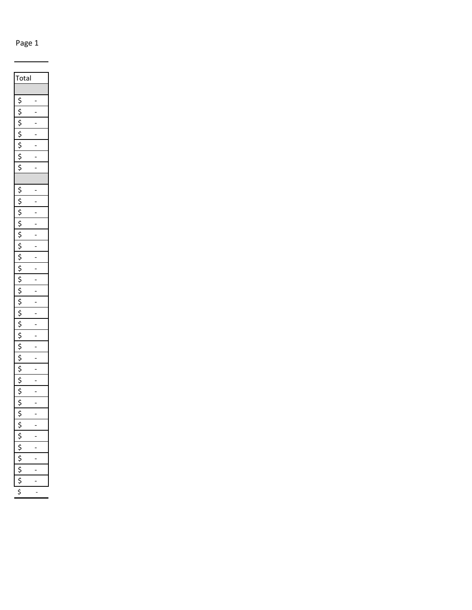Page 1

| Total                         |                |
|-------------------------------|----------------|
|                               |                |
| \$                            | $\overline{a}$ |
| \$                            |                |
| C                             | -              |
| \$                            | i              |
|                               | -              |
| $rac{5}{2}$                   | -              |
| $\overline{\xi}$              |                |
|                               |                |
| \$                            | -              |
| \$                            |                |
| \$                            |                |
| $\tilde{\varsigma}$           | -              |
| \$\$\$                        |                |
|                               | $\overline{a}$ |
|                               | -              |
| \$                            | -              |
| $\overline{\mathsf{S}}$       |                |
| $rac{1}{2}$                   |                |
|                               | i              |
| \$                            | $\overline{a}$ |
| $\dot{\varsigma}$             | -              |
| \$                            | -              |
| $\zeta$                       | í              |
| $rac{1}{2}$                   | -              |
|                               | -              |
| ;<br>ć                        | $\overline{a}$ |
| .<br>\$                       | Ē              |
| \$                            | -              |
| ċ                             |                |
|                               |                |
|                               |                |
|                               |                |
| $\overline{\dot{\mathsf{S}}}$ |                |
|                               |                |
| $\frac{1}{5}$                 |                |
|                               |                |